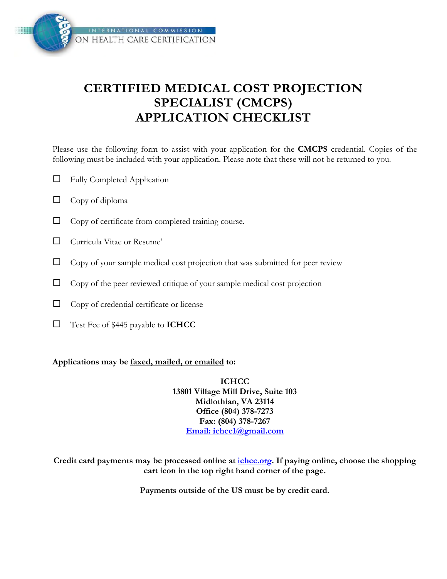

## **CERTIFIED MEDICAL COST PROJECTION SPECIALIST (CMCPS) APPLICATION CHECKLIST**

Please use the following form to assist with your application for the **CMCPS** credential. Copies of the following must be included with your application. Please note that these will not be returned to you.

- $\Box$  Fully Completed Application
- $\Box$  Copy of diploma
- $\Box$  Copy of certificate from completed training course.
- Curricula Vitae or Resume'
- $\Box$  Copy of your sample medical cost projection that was submitted for peer review
- $\Box$  Copy of the peer reviewed critique of your sample medical cost projection
- $\Box$  Copy of credential certificate or license
- Test Fee of \$445 payable to **ICHCC**

#### **Applications may be faxed, mailed, or emailed to:**

**ICHCC 13801 Village Mill Drive, Suite 103 Midlothian, VA 23114 Office (804) 378-7273 Fax: (804) 378-7267 [Email: ichcc1@gmail.com](mailto:ichcc1@gmail.com)**

**Credit card payments may be processed online at [ichcc.org](http://ichcc.org/). If paying online, choose the shopping cart icon in the top right hand corner of the page.** 

**Payments outside of the US must be by credit card.**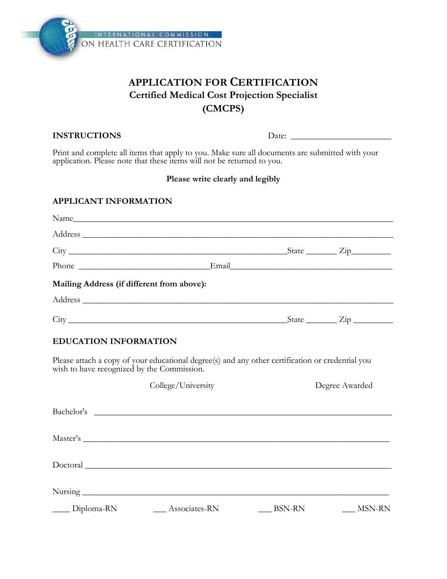

## **APPLICATION FOR CERTIFICATION Certified Medical Cost Projection Specialist (CMCPS)**

#### **INSTRUCTIONS** Date:

Print and complete all items that apply to you. Make sure all documents are submitted with your application. Please note that these items will not be returned to you.

#### **Please write clearly and legibly**

#### **APPLICANT INFORMATION**

|                                            | Phone Email Email |                          |  |
|--------------------------------------------|-------------------|--------------------------|--|
| Mailing Address (if different from above): |                   |                          |  |
|                                            |                   |                          |  |
|                                            |                   | $State$ $\overline{Zip}$ |  |
|                                            |                   |                          |  |

#### **EDUCATION INFORMATION**

Please attach a copy of your educational degree(s) and any other certification or credential you wish to have recognized by the Commission.

|                   | College/University                                                                                                   |               | Degree Awarded |  |  |  |
|-------------------|----------------------------------------------------------------------------------------------------------------------|---------------|----------------|--|--|--|
| Bachelor's        | <u> Andreas Andreas Andreas Andreas Andreas Andreas Andreas Andreas Andreas Andreas Andreas Andreas Andreas Andr</u> |               |                |  |  |  |
|                   |                                                                                                                      |               |                |  |  |  |
|                   |                                                                                                                      |               |                |  |  |  |
|                   |                                                                                                                      |               |                |  |  |  |
| $\_\_$ Diploma-RN | Associates-RN                                                                                                        | <b>BSN-RN</b> | MSN-RN         |  |  |  |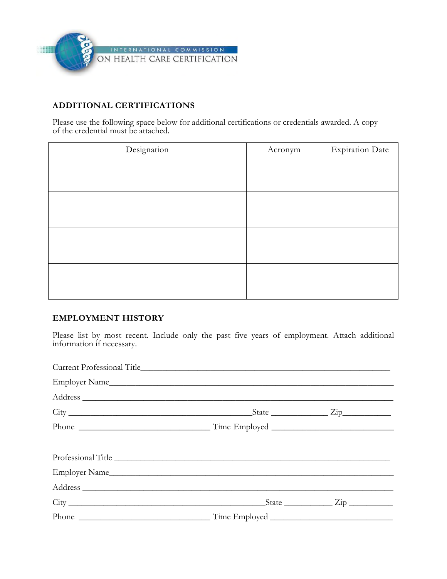

#### **ADDITIONAL CERTIFICATIONS**

Please use the following space below for additional certifications or credentials awarded. A copy of the credential must be attached.

| Designation | Acronym | <b>Expiration Date</b> |
|-------------|---------|------------------------|
|             |         |                        |
|             |         |                        |
|             |         |                        |
|             |         |                        |
|             |         |                        |
|             |         |                        |
|             |         |                        |
|             |         |                        |
|             |         |                        |
|             |         |                        |
|             |         |                        |
|             |         |                        |

#### **EMPLOYMENT HISTORY**

Please list by most recent. Include only the past five years of employment. Attach additional information if necessary.

| Professional Title |  |
|--------------------|--|
|                    |  |
|                    |  |
|                    |  |
|                    |  |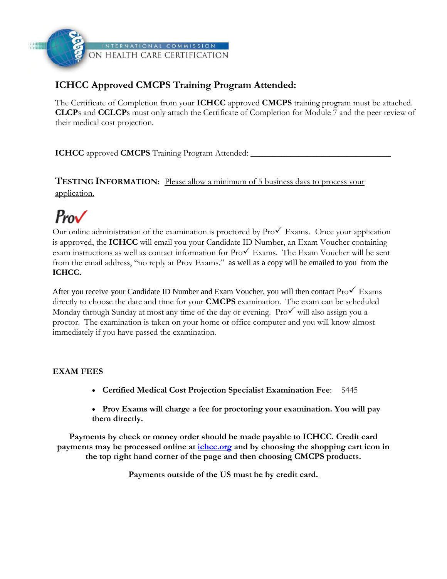

### **ICHCC Approved CMCPS Training Program Attended:**

The Certificate of Completion from your **ICHCC** approved **CMCPS** training program must be attached. **CLCP**s and **CCLCP**s must only attach the Certificate of Completion for Module 7 and the peer review of their medical cost projection.

**ICHCC** approved **CMCPS** Training Program Attended:

**TESTING INFORMATION:** Please allow a minimum of 5 business days to process your application.

# $P_{\text{row}}$

Our online administration of the examination is proctored by  $\text{Pro}\checkmark$  Exams. Once your application is approved, the **ICHCC** will email you your Candidate ID Number, an Exam Voucher containing exam instructions as well as contact information for  $Pro\checkmark$  Exams. The Exam Voucher will be sent from the email address, "no reply at Prov Exams." as well as a copy will be emailed to you from the **ICHCC.** 

After you receive your Candidate ID Number and Exam Voucher, you will then contact  $\text{ProV}$  Exams directly to choose the date and time for your **CMCPS** examination. The exam can be scheduled Monday through Sunday at most any time of the day or evening. Pro $\checkmark$  will also assign you a proctor. The examination is taken on your home or office computer and you will know almost immediately if you have passed the examination.

#### **EXAM FEES**

- **Certified Medical Cost Projection Specialist Examination Fee**: \$445
- **Prov Exams will charge a fee for proctoring your examination. You will pay them directly.**

**Payments by check or money orde[r should b](http://ichcc.org/)e made payable to ICHCC. Credit card payments may be processed online at ichcc.org and by choosing the shopping cart icon in the top right hand corner of the page and then choosing CMCPS products.** 

**Payments outside of the US must be by credit card.**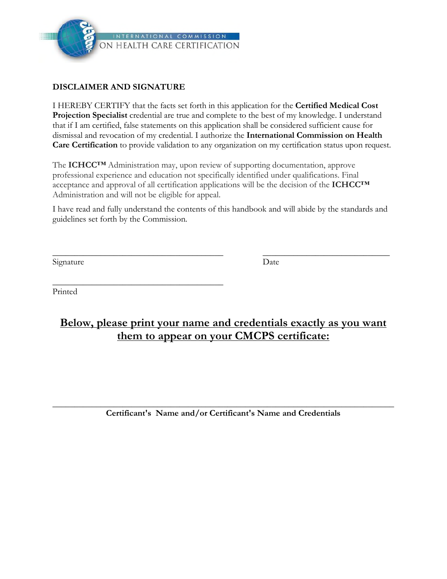

\_\_\_\_\_\_\_\_\_\_\_\_\_\_\_\_\_\_\_\_\_\_\_\_\_\_\_\_\_\_\_\_\_\_\_\_\_\_\_

#### **DISCLAIMER AND SIGNATURE**

I HEREBY CERTIFY that the facts set forth in this application for the **Certified Medical Cost Projection Specialist** credential are true and complete to the best of my knowledge. I understand that if I am certified, false statements on this application shall be considered sufficient cause for dismissal and revocation of my credential. I authorize the **International Commission on Health Care Certification** to provide validation to any organization on my certification status upon request.

The **ICHCC™** Administration may, upon review of supporting documentation, approve professional experience and education not specifically identified under qualifications. Final acceptance and approval of all certification applications will be the decision of the **ICHCC™** Administration and will not be eligible for appeal.

I have read and fully understand the contents of this handbook and will abide by the standards and guidelines set forth by the Commission.

 $\overline{\phantom{a}}$  , and the contract of the contract of the contract of the contract of the contract of the contract of the contract of the contract of the contract of the contract of the contract of the contract of the contrac

Signature Date

Printed

## **Below, please print your name and credentials exactly as you want them to appear on your CMCPS certificate:**

\_\_\_\_\_\_\_\_\_\_\_\_\_\_\_\_\_\_\_\_\_\_\_\_\_\_\_\_\_\_\_\_\_\_\_\_\_\_\_\_\_\_\_\_\_\_\_\_\_\_\_\_\_\_\_\_\_\_\_\_\_\_\_\_\_\_\_\_\_\_\_\_\_\_\_\_\_\_ **Certificant's Name and/or Certificant's Name and Credentials**